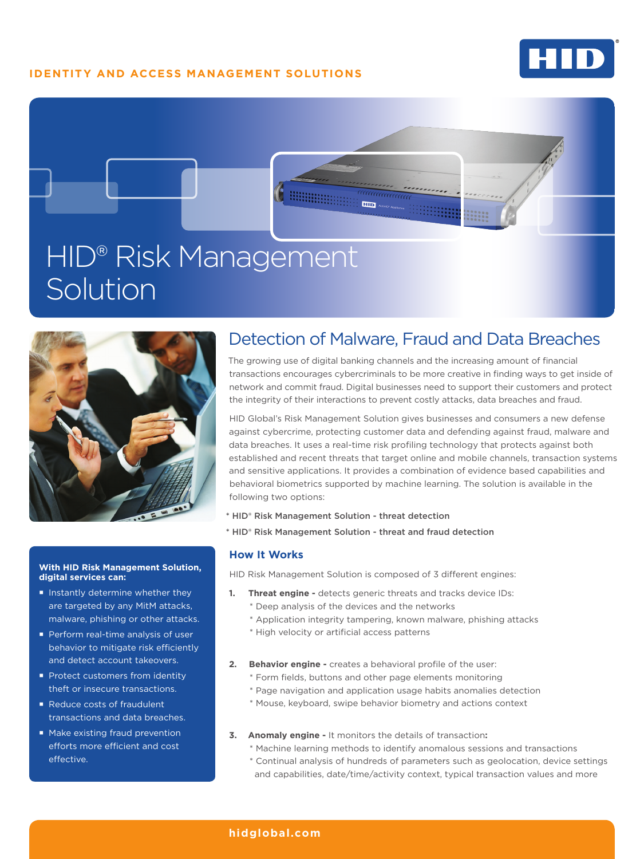## **IDENTITY AND ACCESS MANAGEMENT SOLUTIONS**

detection of the service of the service of the service of the service of the service of the service of the service of the service of the service of the service of the service of the service of the service of the service of







## **With HID Risk Management Solution, digital services can:**

- Instantly determine whether they are targeted by any MitM attacks, malware, phishing or other attacks.
- **Perform real-time analysis of user** behavior to mitigate risk efficiently and detect account takeovers.
- Protect customers from identity theft or insecure transactions.
- Reduce costs of fraudulent transactions and data breaches.
- **Make existing fraud prevention** efforts more efficient and cost effective.

# Detection of Malware, Fraud and Data Breaches

aaaaaaaaa

The growing use of digital banking channels and the increasing amount of financial transactions encourages cybercriminals to be more creative in finding ways to get inside of network and commit fraud. Digital businesses need to support their customers and protect the integrity of their interactions to prevent costly attacks, data breaches and fraud.

HID Global's Risk Management Solution gives businesses and consumers a new defense against cybercrime, protecting customer data and defending against fraud, malware and data breaches. It uses a real-time risk profiling technology that protects against both established and recent threats that target online and mobile channels, transaction systems and sensitive applications. It provides a combination of evidence based capabilities and behavioral biometrics supported by machine learning. The solution is available in the following two options:

- \* HID® Risk Management Solution threat detection
- \* HID® Risk Management Solution threat and fraud detection

## **How It Works**

HID Risk Management Solution is composed of 3 different engines:

- **1. Threat engine -** detects generic threats and tracks device IDs:
	- \* Deep analysis of the devices and the networks
	- \* Application integrity tampering, known malware, phishing attacks
	- \* High velocity or artificial access patterns
- **2. Behavior engine** creates a behavioral profile of the user:
	- \* Form fields, buttons and other page elements monitoring
	- \* Page navigation and application usage habits anomalies detection
	- \* Mouse, keyboard, swipe behavior biometry and actions context
- **3. Anomaly engine** It monitors the details of transaction**:**
	- \* Machine learning methods to identify anomalous sessions and transactions
	- \* Continual analysis of hundreds of parameters such as geolocation, device settings and capabilities, date/time/activity context, typical transaction values and more

## **hidglobal.com**